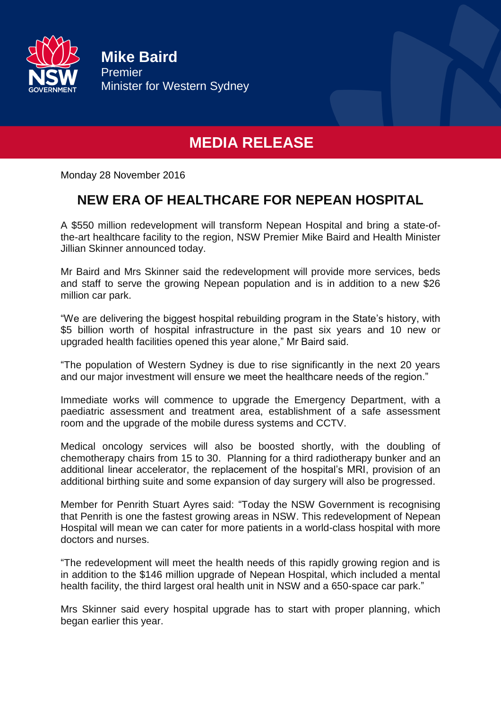

**Mike Baird** Premier Minister for Western Sydney

## **MEDIA RELEASE**

Monday 28 November 2016

## **NEW ERA OF HEALTHCARE FOR NEPEAN HOSPITAL**

A \$550 million redevelopment will transform Nepean Hospital and bring a state-ofthe-art healthcare facility to the region, NSW Premier Mike Baird and Health Minister Jillian Skinner announced today.

Mr Baird and Mrs Skinner said the redevelopment will provide more services, beds and staff to serve the growing Nepean population and is in addition to a new \$26 million car park.

"We are delivering the biggest hospital rebuilding program in the State's history, with \$5 billion worth of hospital infrastructure in the past six years and 10 new or upgraded health facilities opened this year alone," Mr Baird said.

"The population of Western Sydney is due to rise significantly in the next 20 years and our major investment will ensure we meet the healthcare needs of the region."

Immediate works will commence to upgrade the Emergency Department, with a paediatric assessment and treatment area, establishment of a safe assessment room and the upgrade of the mobile duress systems and CCTV.

Medical oncology services will also be boosted shortly, with the doubling of chemotherapy chairs from 15 to 30. Planning for a third radiotherapy bunker and an additional linear accelerator, the replacement of the hospital's MRI, provision of an additional birthing suite and some expansion of day surgery will also be progressed.

Member for Penrith Stuart Ayres said: "Today the NSW Government is recognising that Penrith is one the fastest growing areas in NSW. This redevelopment of Nepean Hospital will mean we can cater for more patients in a world-class hospital with more doctors and nurses.

"The redevelopment will meet the health needs of this rapidly growing region and is in addition to the \$146 million upgrade of Nepean Hospital, which included a mental health facility, the third largest oral health unit in NSW and a 650-space car park."

Mrs Skinner said every hospital upgrade has to start with proper planning, which began earlier this year.